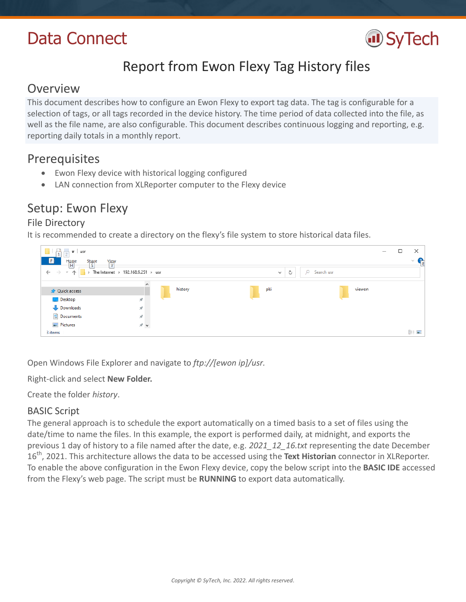# Data Connect



# Report from Ewon Flexy Tag History files

## **Overview**

This document describes how to configure an Ewon Flexy to export tag data. The tag is configurable for a selection of tags, or all tags recorded in the device history. The time period of data collected into the file, as well as the file name, are also configurable. This document describes continuous logging and reporting, e.g. reporting daily totals in a monthly report.

# **Prerequisites**

- Ewon Flexy device with historical logging configured
- LAN connection from XLReporter computer to the Flexy device

# Setup: Ewon Flexy

## File Directory

It is recommended to create a directory on the flexy's file system to store historical data files.

| usr<br>$\overline{\mathbf{v}}$<br>$\overline{\phantom{a}}$ |                                      |         |                   |                        | $\Box$ | ×        |
|------------------------------------------------------------|--------------------------------------|---------|-------------------|------------------------|--------|----------|
| $\mathbf{F}$<br>$H$ ome<br>Share<br>S                      | $\frac{View}{V}$                     |         |                   |                        |        | $\vee$ G |
| $\leftarrow$ $\rightarrow$ $\rightarrow$ $\uparrow$        | > The Internet > 192.168.9.251 > usr |         | Ō<br>$\checkmark$ | $\Omega$<br>Search usr |        |          |
|                                                            | $\land$                              |         |                   |                        |        |          |
| <b>A</b> Quick access                                      |                                      | history | pki               | viewon                 |        |          |
| Desktop                                                    | À                                    |         |                   |                        |        |          |
| Downloads                                                  | $\mathcal{R}$                        |         |                   |                        |        |          |
| <b>E</b> Documents                                         | À                                    |         |                   |                        |        |          |
| Pictures                                                   | オマ                                   |         |                   |                        |        |          |
| 3 items                                                    |                                      |         |                   |                        |        | 胆固       |

Open Windows File Explorer and navigate to *[ftp://\[ewon](ftp://[ewon/) ip]/usr.*

Right-click and select **New Folder.**

Create the folder *history*.

## BASIC Script

The general approach is to schedule the export automatically on a timed basis to a set of files using the date/time to name the files. In this example, the export is performed daily, at midnight, and exports the previous 1 day of history to a file named after the date, e.g. *2021\_12\_16.txt* representing the date December 16th, 2021. This architecture allows the data to be accessed using the **Text Historian** connector in XLReporter. To enable the above configuration in the Ewon Flexy device, copy the below script into the **BASIC IDE** accessed from the Flexy's web page. The script must be **RUNNING** to export data automatically.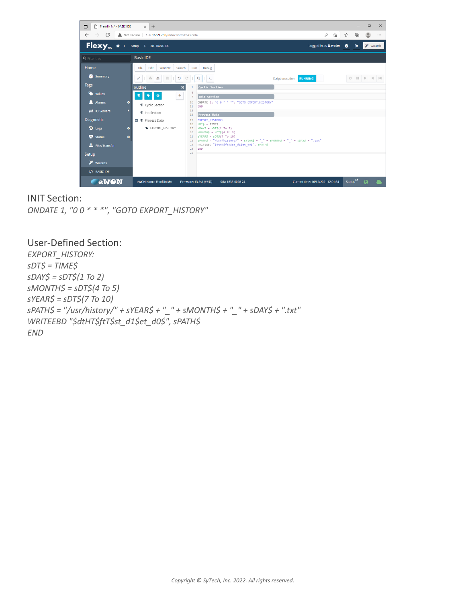

### INIT Section:

*ONDATE 1, "0 0 \* \* \*", "GOTO EXPORT\_HISTORY"*

### User-Defined Section:

*EXPORT\_HISTORY: sDT\$ = TIME\$ sDAY\$ = sDT\$(1 To 2) sMONTH\$ = sDT\$(4 To 5) sYEAR\$ = sDT\$(7 To 10) sPATH\$ = "/usr/history/" + sYEAR\$ + "\_" + sMONTH\$ + "\_" + sDAY\$ + ".txt" WRITEEBD "\$dtHT\$ftT\$st\_d1\$et\_d0\$", sPATH\$ END*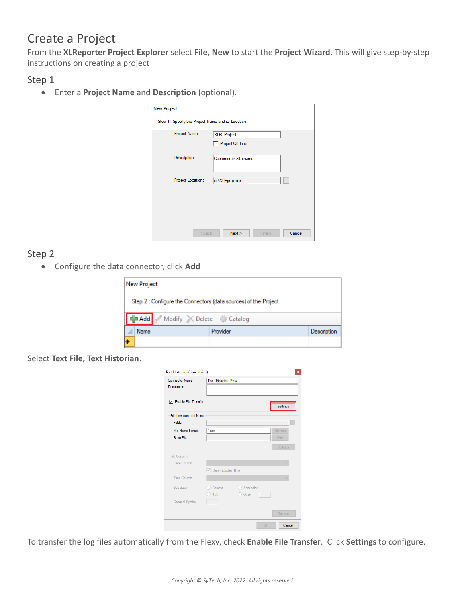# Create a Project

From the **XLReporter Project Explorer** select **File, New** to start the **Project Wizard**. This will give step-by-step instructions on creating a project

Step 1

Enter a **Project Name** and **Description** (optional).

| Project Off Line      |
|-----------------------|
|                       |
| Customer or Site name |
|                       |
| c:\XLRprojects        |
|                       |
|                       |
|                       |

## Step 2

Configure the data connector, click **Add**

|    | New Project                                                      |          |             |  |  |  |
|----|------------------------------------------------------------------|----------|-------------|--|--|--|
|    | Step 2 : Configure the Connectors (data sources) of the Project. |          |             |  |  |  |
|    | Add Modify X Delete   Catalog                                    |          |             |  |  |  |
|    | Name                                                             | Provider | Description |  |  |  |
| ∣∗ |                                                                  |          |             |  |  |  |

#### Select **Text File, Text Historian**.

| <b>Connector Name</b>         | Text_Historian_Flexy               |           |             |
|-------------------------------|------------------------------------|-----------|-------------|
| Description                   |                                    |           |             |
| <b>√</b> Enable File Transfer |                                    |           | Settings    |
| <b>File Location and Name</b> |                                    |           |             |
| Folder                        |                                    |           |             |
| <b>File Name Format</b>       | *.csv                              |           | Refresh     |
| <b>Base File</b>              |                                    |           | <b>View</b> |
|                               |                                    |           | Settings    |
| <b>File Content</b>           |                                    |           |             |
| Date Column                   |                                    |           |             |
|                               | $\triangledown$ Date includes Time |           |             |
| Time Column                   |                                    |           |             |
| Separator                     | Comma                              | Semicolon |             |
|                               | Tab                                | Other     |             |
| Decimal Symbol                |                                    |           |             |
|                               |                                    |           | Settings    |

To transfer the log files automatically from the Flexy, check **Enable File Transfer**. Click **Settings** to configure.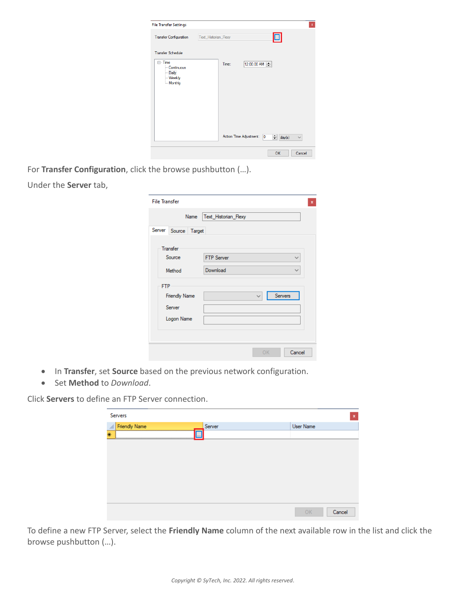| <b>File Transfer Settings</b>                                     |                      |       |                                                    | $\pmb{\mathsf{x}}$            |
|-------------------------------------------------------------------|----------------------|-------|----------------------------------------------------|-------------------------------|
| <b>Transfer Configuration</b>                                     | Text_Historian_Flexy |       | ▣                                                  |                               |
| <b>Transfer Schedule</b>                                          |                      |       |                                                    |                               |
| <b>⊟</b> Time<br>- Continuous<br>- Daily<br>- Weekly<br>- Monthly |                      | Time: | 12:00:00 AM                                        |                               |
|                                                                   |                      |       | Action Time Adjustment:<br>$\overline{\mathbf{0}}$ | $\div$ day(s)<br>$\checkmark$ |
|                                                                   |                      |       | OK                                                 | Cancel                        |

For **Transfer Configuration**, click the browse pushbutton (…). Under the **Server** tab,

| <b>File Transfer</b><br>Name | Text Historian Flexy                                          |  |
|------------------------------|---------------------------------------------------------------|--|
| Server Source<br>Target      |                                                               |  |
| <b>Transfer</b>              |                                                               |  |
| Source<br>Method             | <b>FTP Server</b><br>$\checkmark$<br>Download<br>$\checkmark$ |  |
| <b>FTP</b>                   |                                                               |  |
| <b>Friendly Name</b>         | Servers                                                       |  |
| Server                       |                                                               |  |
| Logon Name                   |                                                               |  |
|                              |                                                               |  |
|                              |                                                               |  |

- In **Transfer**, set **Source** based on the previous network configuration.
- Set **Method** to *Download*.

Click **Servers** to define an FTP Server connection.

| Servers              |            | $\mathbf x$  |
|----------------------|------------|--------------|
| <b>Friendly Name</b> | Server     | User Name    |
| ₩                    | <b>TAX</b> |              |
|                      |            |              |
|                      |            |              |
|                      |            |              |
|                      |            |              |
|                      |            |              |
|                      |            |              |
|                      |            |              |
|                      |            |              |
|                      |            | OK<br>Cancel |

To define a new FTP Server, select the **Friendly Name** column of the next available row in the list and click the browse pushbutton (…).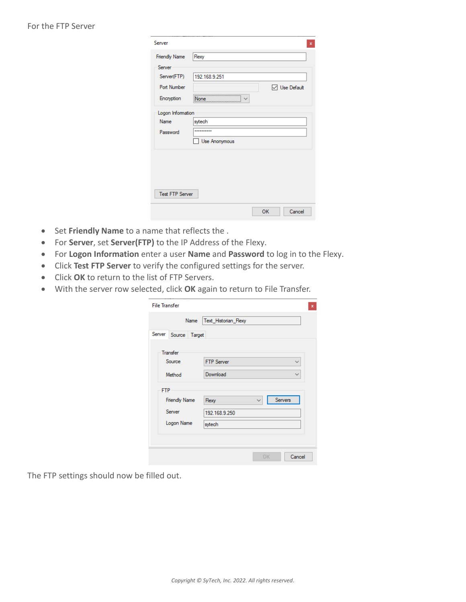| Server                 | $\boldsymbol{\mathsf{x}}$ |
|------------------------|---------------------------|
| <b>Friendly Name</b>   | Flexy                     |
| Server                 |                           |
| Server(FTP)            | 192.168.9.251             |
| <b>Port Number</b>     | <b>▽</b> Use Default      |
| Encryption             | None                      |
| Logon Information      |                           |
| <b>Name</b>            | sytech                    |
| Password               |                           |
|                        | Use Anonymous             |
|                        |                           |
|                        |                           |
|                        |                           |
|                        |                           |
| <b>Test FTP Server</b> |                           |
|                        | OK<br>Cancel              |
|                        |                           |

- Set **Friendly Name** to a name that reflects the .
- For **Server**, set **Server(FTP)** to the IP Address of the Flexy.
- For **Logon Information** enter a user **Name** and **Password** to log in to the Flexy.
- Click **Test FTP Server** to verify the configured settings for the server.
- Click **OK** to return to the list of FTP Servers.
- With the server row selected, click **OK** again to return to File Transfer.

| <b>File Transfer</b><br>Name | Text_Historian_Flexy              |  |
|------------------------------|-----------------------------------|--|
| Server Source<br>Target      |                                   |  |
| Transfer                     |                                   |  |
| Source                       | <b>FTP Server</b><br>$\checkmark$ |  |
| Method                       | Download                          |  |
| <b>FTP</b>                   |                                   |  |
| <b>Friendly Name</b>         | Servers<br><b>Flexy</b><br>v      |  |
| Server                       | 192.168.9.250                     |  |
| Logon Name                   | sytech                            |  |
|                              |                                   |  |
|                              | Cancel<br>OK                      |  |

The FTP settings should now be filled out.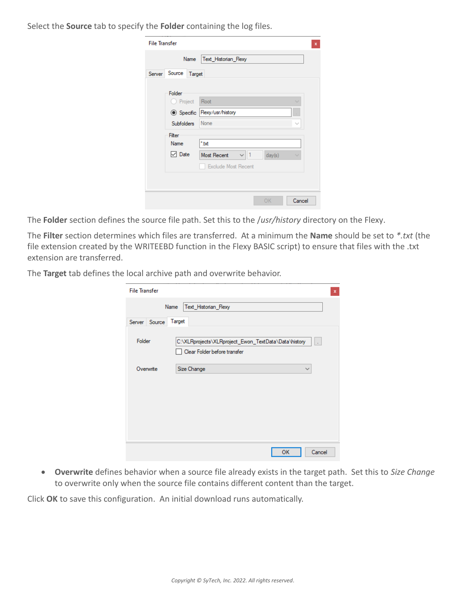Select the **Source** tab to specify the **Folder** containing the log files.

|        | Name              | Text_Historian_Flexy                     |        |
|--------|-------------------|------------------------------------------|--------|
| Server | Source<br>Target  |                                          |        |
|        | Folder<br>Project | Root                                     |        |
|        | <b>◎</b> Specific | Flexy/usr/history                        |        |
|        | <b>Subfolders</b> | None                                     | $\sim$ |
|        | Filter<br>Name    | *.txt                                    |        |
|        | $\vee$ Date       | $\vee$ 1<br>day(s)<br><b>Most Recent</b> |        |
|        |                   | <b>Exclude Most Recent</b>               |        |
|        |                   |                                          |        |

The **Folder** section defines the source file path. Set this to the /*usr/history* directory on the Flexy.

The **Filter** section determines which files are transferred. At a minimum the **Name** should be set to *\*.txt* (the file extension created by the WRITEEBD function in the Flexy BASIC script) to ensure that files with the .txt extension are transferred.

The **Target** tab defines the local archive path and overwrite behavior.

| <b>File Transfer</b> | x                                                                                    |
|----------------------|--------------------------------------------------------------------------------------|
| Name                 | Text Historian Flexy                                                                 |
| Server Source        | Target                                                                               |
| Folder               | C:\XLRprojects\XLRproject_Ewon_TextData\Data\history<br>Clear Folder before transfer |
| Overwrite            | Size Change<br>$\checkmark$                                                          |
|                      |                                                                                      |
|                      |                                                                                      |
|                      |                                                                                      |
|                      |                                                                                      |
|                      |                                                                                      |
|                      | OK<br>Cancel                                                                         |

 **Overwrite** defines behavior when a source file already exists in the target path. Set this to *Size Change* to overwrite only when the source file contains different content than the target.

Click **OK** to save this configuration. An initial download runs automatically.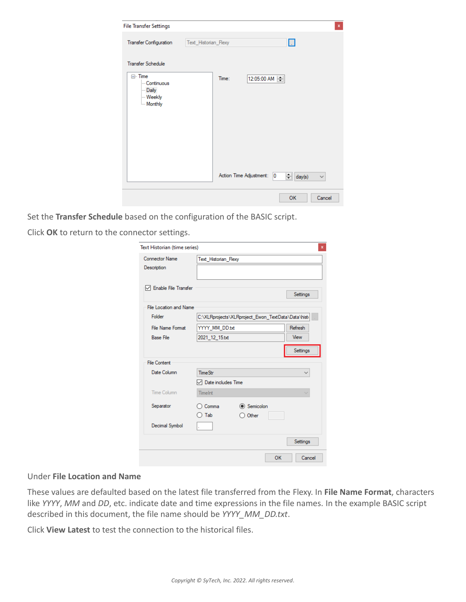| <b>File Transfer Settings</b>                                                     |                                                                                            | $\mathbf{x}$ |
|-----------------------------------------------------------------------------------|--------------------------------------------------------------------------------------------|--------------|
| <b>Transfer Configuration</b>                                                     | Text_Historian_Flexy<br>IJ                                                                 |              |
| <b>Transfer Schedule</b>                                                          |                                                                                            |              |
| ⊟ <sub>"</sub> Time<br>- Continuous<br>- Daily<br><b>Weekly</b><br><b>Monthly</b> | 12:05:00 AM =<br>Time:<br>Action Time Adjustment:<br>10<br>$\equiv$ day(s)<br>$\checkmark$ |              |
|                                                                                   |                                                                                            |              |
|                                                                                   | OK<br>Cancel                                                                               |              |

Set the **Transfer Schedule** based on the configuration of the BASIC script.

Click **OK** to return to the connector settings.

| Text Historian (time series) |                                                    |           |    |          | x |
|------------------------------|----------------------------------------------------|-----------|----|----------|---|
| <b>Connector Name</b>        | Text Historian Flexy                               |           |    |          |   |
| Description                  |                                                    |           |    |          |   |
| □ Enable File Transfer       |                                                    |           |    |          |   |
|                              |                                                    |           |    | Settings |   |
| File Location and Name       |                                                    |           |    |          |   |
| Folder                       | C:\XLRprojects\XLRproject_Ewon_TextData\Data\histi |           |    |          |   |
| <b>File Name Format</b>      | YYYY_MM_DD.txt                                     |           |    | Refresh  |   |
| <b>Base File</b>             | 2021_12_15.txt                                     |           |    | View     |   |
|                              |                                                    |           |    | Settings |   |
| <b>File Content</b>          |                                                    |           |    |          |   |
| Date Column                  | <b>TimeStr</b>                                     |           |    |          |   |
|                              | $\sqrt{\phantom{a}}$ Date includes Time            |           |    |          |   |
| Time Column                  | TimeInt                                            |           |    | u        |   |
| Separator                    | Comma                                              | Semicolon |    |          |   |
|                              | Tab                                                | Other     |    |          |   |
| Decimal Symbol               |                                                    |           |    |          |   |
|                              |                                                    |           |    | Settings |   |
|                              |                                                    |           | OK | Cancel   |   |

#### Under **File Location and Name**

These values are defaulted based on the latest file transferred from the Flexy. In **File Name Format**, characters like *YYYY*, *MM* and *DD*, etc. indicate date and time expressions in the file names. In the example BASIC script described in this document, the file name should be *YYYY\_MM\_DD.txt*.

Click **View Latest** to test the connection to the historical files.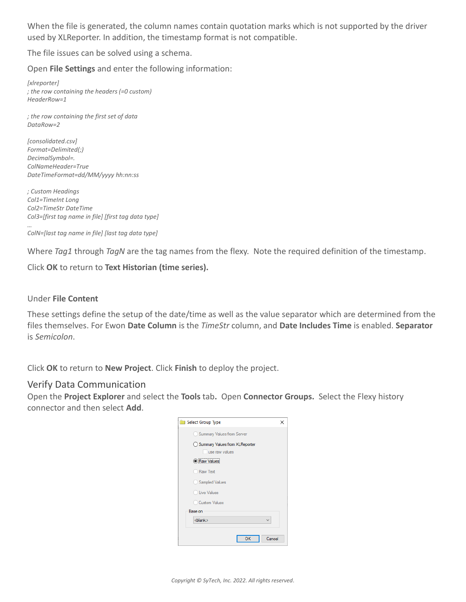When the file is generated, the column names contain quotation marks which is not supported by the driver used by XLReporter. In addition, the timestamp format is not compatible.

The file issues can be solved using a schema.

Open **File Settings** and enter the following information:

*[xlreporter] ; the row containing the headers (=0 custom) HeaderRow=1*

*; the row containing the first set of data DataRow=2*

*[consolidated.csv] Format=Delimited(;) DecimalSymbol=. ColNameHeader=True DateTimeFormat=dd/MM/yyyy hh:nn:ss*

*; Custom Headings Col1=TimeInt Long Col2=TimeStr DateTime Col3=[first tag name in file] [first tag data type]*

*… ColN=[last tag name in file] [last tag data type]*

Where *Tag1* through *TagN* are the tag names from the flexy. Note the required definition of the timestamp.

Click **OK** to return to **Text Historian (time series).**

#### Under **File Content**

These settings define the setup of the date/time as well as the value separator which are determined from the files themselves. For Ewon **Date Column** is the *TimeStr* column, and **Date Includes Time** is enabled. **Separator**  is *Semicolon*.

Click **OK** to return to **New Project**. Click **Finish** to deploy the project.

#### Verify Data Communication

Open the **Project Explorer** and select the **Tools** tab**.** Open **Connector Groups.** Select the Flexy history connector and then select **Add**.

| Select Group Type<br>$\mathbf{r}$ |        |
|-----------------------------------|--------|
| Summary Values from Server        |        |
| ◯ Summary Values from XLReporter  |        |
| use raw values                    |        |
| Raw Values                        |        |
| <b>Raw Text</b>                   |        |
| Sampled Values                    |        |
| Live Values                       |        |
| <b>Custom Values</b>              |        |
| Base on                           |        |
| <blank></blank>                   |        |
| OK                                | Cancel |